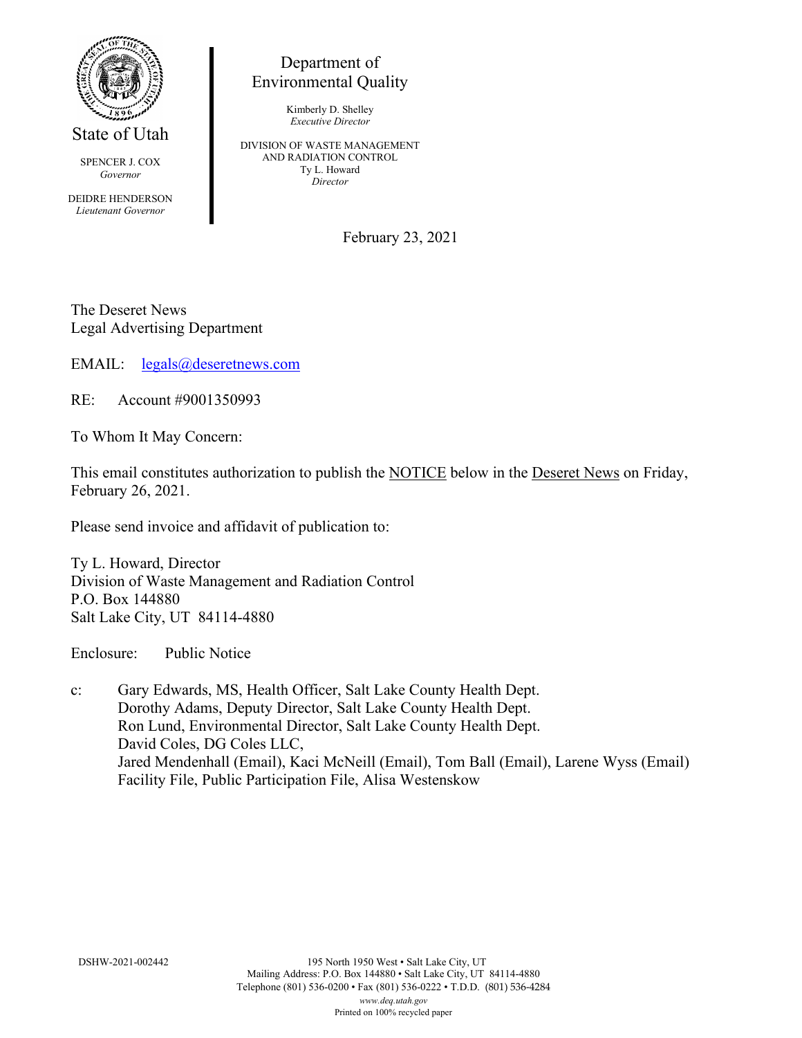

State of Utah

SPENCER J. COX *Governor*

DEIDRE HENDERSON *Lieutenant Governor*

## Department of Environmental Quality

Kimberly D. Shelley *Executive Director*

DIVISION OF WASTE MANAGEMENT AND RADIATION CONTROL Ty L. Howard *Director*

February 23, 2021

The Deseret News Legal Advertising Department

EMAIL: [legals@deseretnews.com](mailto:legals@deseretnews.com)

RE: Account #9001350993

To Whom It May Concern:

This email constitutes authorization to publish the NOTICE below in the Deseret News on Friday, February 26, 2021.

Please send invoice and affidavit of publication to:

Ty L. Howard, Director Division of Waste Management and Radiation Control P.O. Box 144880 Salt Lake City, UT 84114-4880

Enclosure: Public Notice

c: Gary Edwards, MS, Health Officer, Salt Lake County Health Dept. Dorothy Adams, Deputy Director, Salt Lake County Health Dept. Ron Lund, Environmental Director, Salt Lake County Health Dept. David Coles, DG Coles LLC, Jared Mendenhall (Email), Kaci McNeill (Email), Tom Ball (Email), Larene Wyss (Email) Facility File, Public Participation File, Alisa Westenskow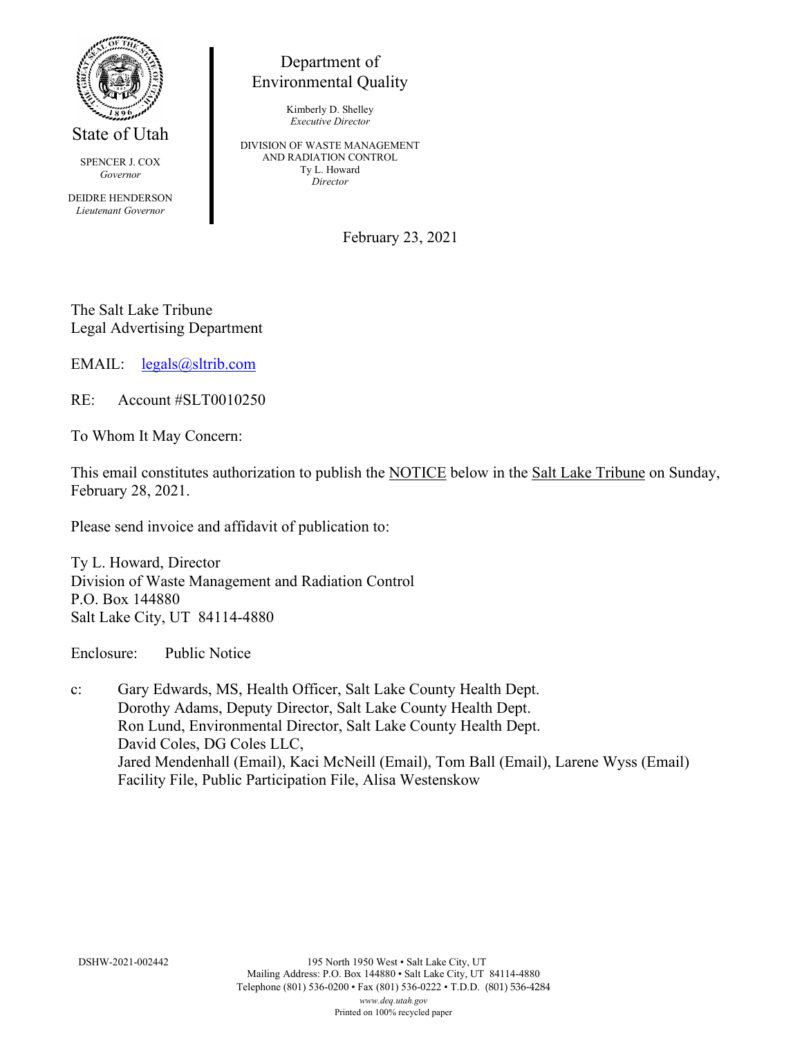

State of Utah

SPENCER J. COX *Governor*

DEIDRE HENDERSON *Lieutenant Governor*

## Department of Environmental Quality

Kimberly D. Shelley *Executive Director*

DIVISION OF WASTE MANAGEMENT AND RADIATION CONTROL Ty L. Howard *Director*

February 23, 2021

The Salt Lake Tribune Legal Advertising Department

EMAIL: [legals@sltrib.com](mailto:legals@sltrib.com)

RE: Account #SLT0010250

To Whom It May Concern:

This email constitutes authorization to publish the NOTICE below in the Salt Lake Tribune on Sunday, February 28, 2021.

Please send invoice and affidavit of publication to:

Ty L. Howard, Director Division of Waste Management and Radiation Control P.O. Box 144880 Salt Lake City, UT 84114-4880

Enclosure: Public Notice

c: Gary Edwards, MS, Health Officer, Salt Lake County Health Dept. Dorothy Adams, Deputy Director, Salt Lake County Health Dept. Ron Lund, Environmental Director, Salt Lake County Health Dept. David Coles, DG Coles LLC, Jared Mendenhall (Email), Kaci McNeill (Email), Tom Ball (Email), Larene Wyss (Email) Facility File, Public Participation File, Alisa Westenskow